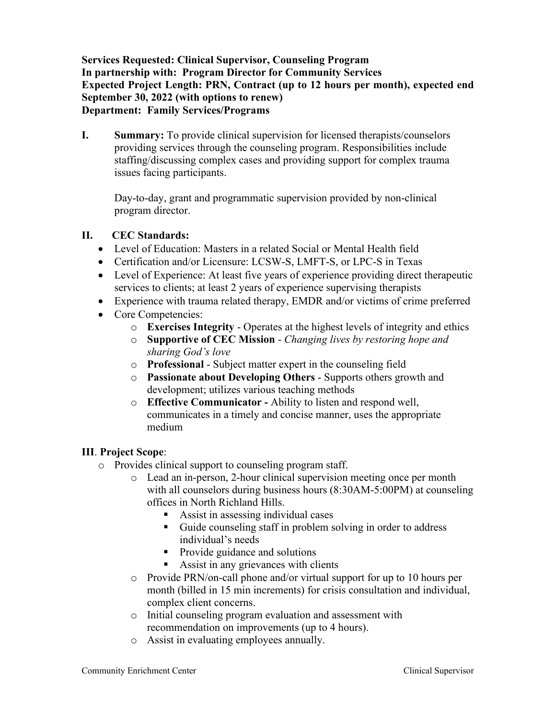**Services Requested: Clinical Supervisor, Counseling Program In partnership with: Program Director for Community Services Expected Project Length: PRN, Contract (up to 12 hours per month), expected end September 30, 2022 (with options to renew) Department: Family Services/Programs** 

**I. Summary:** To provide clinical supervision for licensed therapists/counselors providing services through the counseling program. Responsibilities include staffing/discussing complex cases and providing support for complex trauma issues facing participants.

Day-to-day, grant and programmatic supervision provided by non-clinical program director.

## **II. CEC Standards:**

- Level of Education: Masters in a related Social or Mental Health field
- Certification and/or Licensure: LCSW-S, LMFT-S, or LPC-S in Texas
- Level of Experience: At least five years of experience providing direct therapeutic services to clients; at least 2 years of experience supervising therapists
- Experience with trauma related therapy, EMDR and/or victims of crime preferred
- Core Competencies:
	- o **Exercises Integrity** Operates at the highest levels of integrity and ethics
	- o **Supportive of CEC Mission** *Changing lives by restoring hope and sharing God's love*
	- o **Professional** Subject matter expert in the counseling field
	- o **Passionate about Developing Others** Supports others growth and development; utilizes various teaching methods
	- o **Effective Communicator -** Ability to listen and respond well, communicates in a timely and concise manner, uses the appropriate medium

## **III**. **Project Scope**:

- o Provides clinical support to counseling program staff.
	- o Lead an in-person, 2-hour clinical supervision meeting once per month with all counselors during business hours (8:30AM-5:00PM) at counseling offices in North Richland Hills.
		- Assist in assessing individual cases
		- Guide counseling staff in problem solving in order to address individual's needs
		- Provide guidance and solutions
		- Assist in any grievances with clients
	- o Provide PRN/on-call phone and/or virtual support for up to 10 hours per month (billed in 15 min increments) for crisis consultation and individual, complex client concerns.
	- o Initial counseling program evaluation and assessment with recommendation on improvements (up to 4 hours).
	- o Assist in evaluating employees annually.